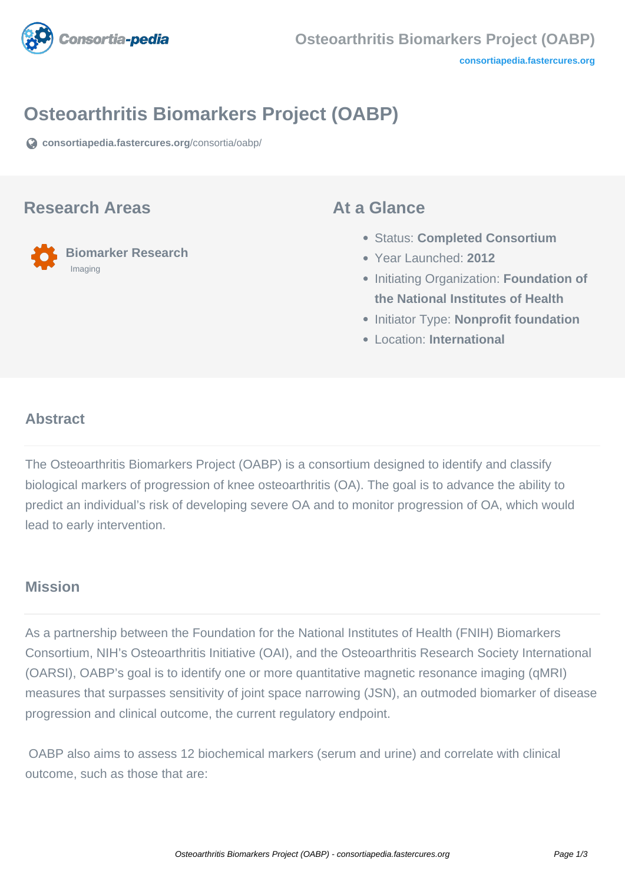

# **Osteoarthritis Biomarkers Project (OABP)**

**[consortiapedia.fastercures.org](https://consortiapedia.fastercures.org/consortia/oabp/)**[/consortia/oabp/](https://consortiapedia.fastercures.org/consortia/oabp/)

#### **Research Areas**

 **Biomarker Research** Imaging

#### **At a Glance**

- Status: **Completed Consortium**
- Year Launched: **2012**
- **Initiating Organization: Foundation of the National Institutes of Health**
- **Initiator Type: Nonprofit foundation**
- Location: **International**

#### $\overline{a}$ **Abstract**

The Osteoarthritis Biomarkers Project (OABP) is a consortium designed to identify and classify biological markers of progression of knee osteoarthritis (OA). The goal is to advance the ability to predict an individual's risk of developing severe OA and to monitor progression of OA, which would lead to early intervention.

#### **Mission**

As a partnership between the Foundation for the National Institutes of Health (FNIH) Biomarkers Consortium, NIH's Osteoarthritis Initiative (OAI), and the Osteoarthritis Research Society International (OARSI), OABP's goal is to identify one or more quantitative magnetic resonance imaging (qMRI) measures that surpasses sensitivity of joint space narrowing (JSN), an outmoded biomarker of disease progression and clinical outcome, the current regulatory endpoint.

 OABP also aims to assess 12 biochemical markers (serum and urine) and correlate with clinical outcome, such as those that are: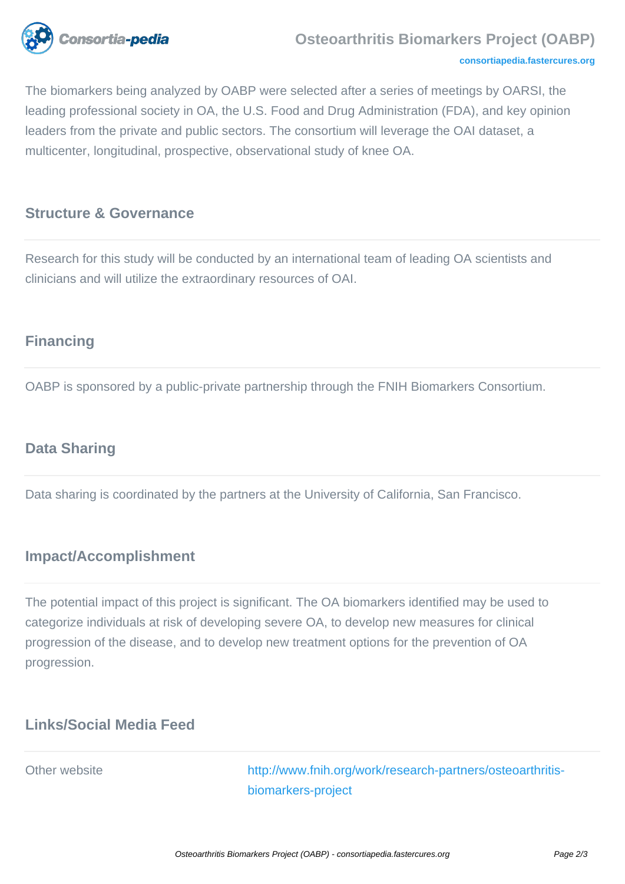

#### **[consortiapedia.fastercures.org](http://consortiapedia.fastercures.org/)**

The biomarkers being analyzed by OABP were selected after a series of meetings by OARSI, the leading professional society in OA, the U.S. Food and Drug Administration (FDA), and key opinion leaders from the private and public sectors. The consortium will leverage the OAI dataset, a multicenter, longitudinal, prospective, observational study of knee OA.

#### **Structure & Governance**

Research for this study will be conducted by an international team of leading OA scientists and clinicians and will utilize the extraordinary resources of OAI.

## **Financing**

OABP is sponsored by a public-private partnership through the FNIH Biomarkers Consortium.

#### **Data Sharing**

Data sharing is coordinated by the partners at the University of California, San Francisco.

#### **Impact/Accomplishment**

The potential impact of this project is significant. The OA biomarkers identified may be used to categorize individuals at risk of developing severe OA, to develop new measures for clinical progression of the disease, and to develop new treatment options for the prevention of OA progression.

#### **Links/Social Media Feed**

Other website [http://www.fnih.org/work/research-partners/osteoarthritis](http://www.fnih.org/work/research-partners/osteoarthritis-biomarkers-project)[biomarkers-project](http://www.fnih.org/work/research-partners/osteoarthritis-biomarkers-project)